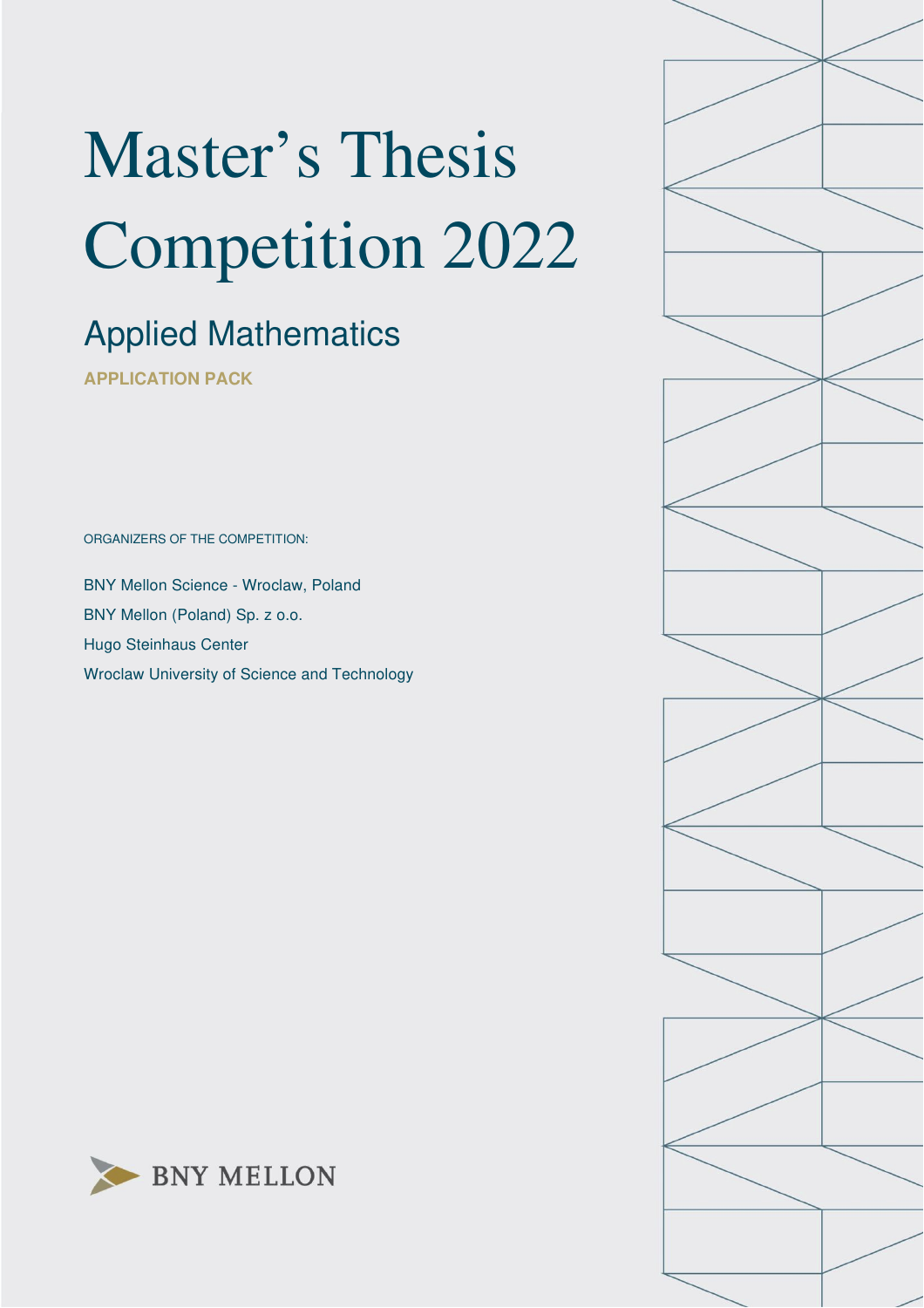# Master's Thesis Competition 2022

## Applied Mathematics

**APPLICATION PACK**

ORGANIZERS OF THE COMPETITION:

BNY Mellon Science - Wroclaw, Poland BNY Mellon (Poland) Sp. z o.o. Hugo Steinhaus Center Wroclaw University of Science and Technology



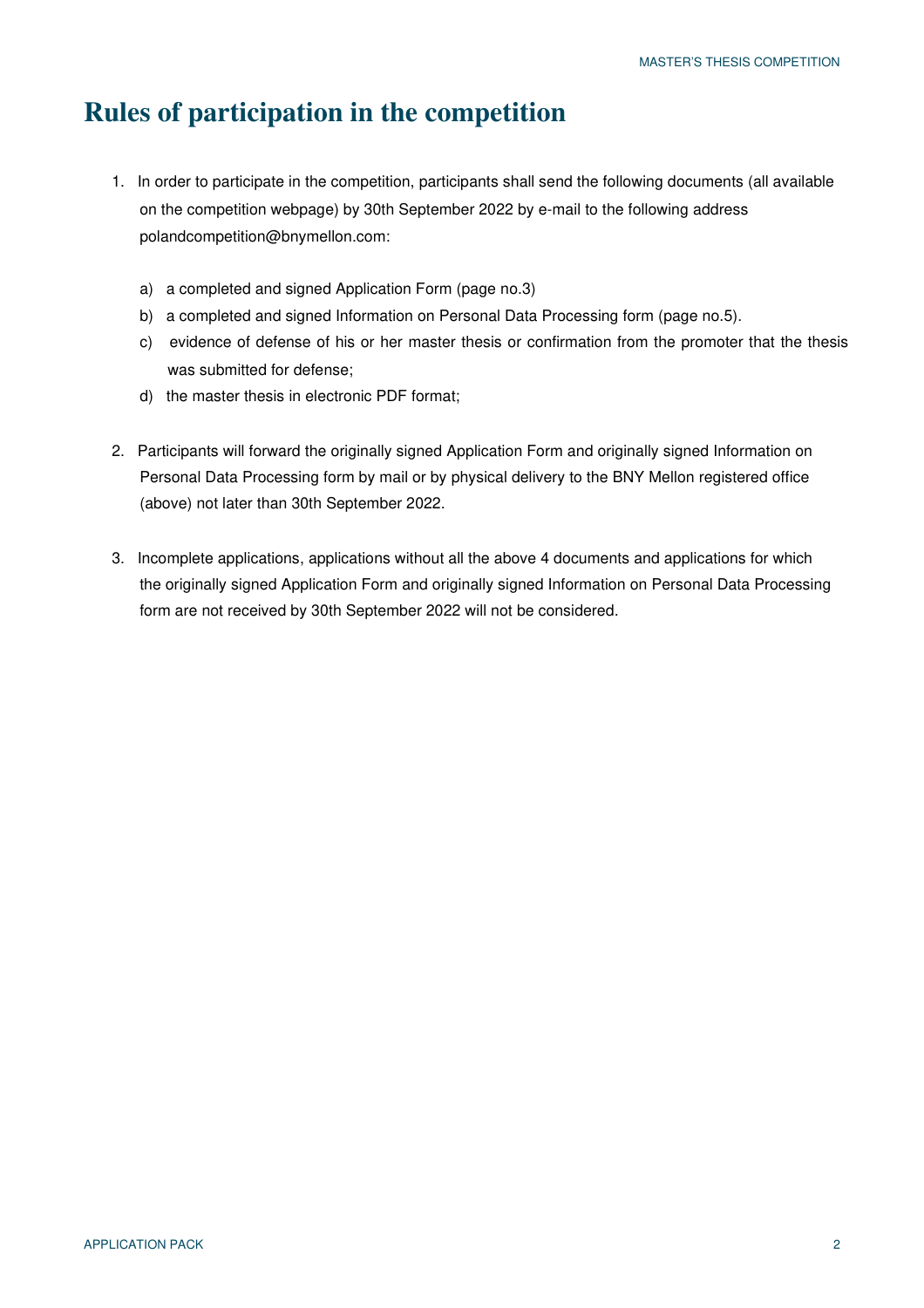#### **Rules of participation in the competition**

- 1. In order to participate in the competition, participants shall send the following documents (all available on the competition webpage) by 30th September 2022 by e-mail to the following address polandcompetition@bnymellon.com:
	- a) a completed and signed Application Form (page no.3)
	- b) a completed and signed Information on Personal Data Processing form (page no.5).
	- c) evidence of defense of his or her master thesis or confirmation from the promoter that the thesis was submitted for defense;
	- d) the master thesis in electronic PDF format;
- 2. Participants will forward the originally signed Application Form and originally signed Information on Personal Data Processing form by mail or by physical delivery to the BNY Mellon registered office (above) not later than 30th September 2022.
- 3. Incomplete applications, applications without all the above 4 documents and applications for which the originally signed Application Form and originally signed Information on Personal Data Processing form are not received by 30th September 2022 will not be considered.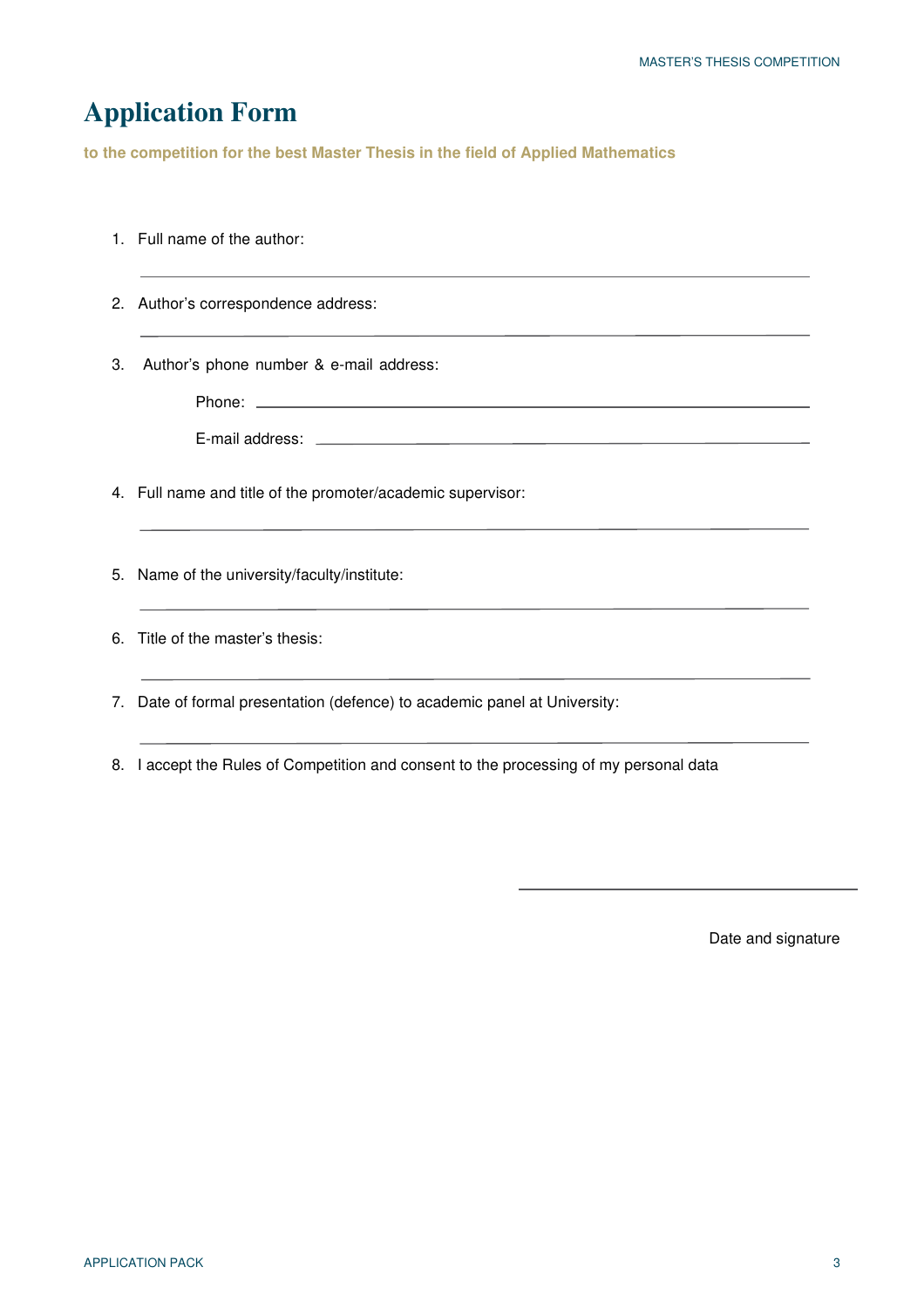## **Application Form**

**to the competition for the best Master Thesis in the field of Applied Mathematics**

|    | 1. Full name of the author:                                               |
|----|---------------------------------------------------------------------------|
|    | 2. Author's correspondence address:                                       |
| 3. | Author's phone number & e-mail address:                                   |
|    |                                                                           |
|    | 4. Full name and title of the promoter/academic supervisor:               |
|    | 5. Name of the university/faculty/institute:                              |
|    | 6. Title of the master's thesis:                                          |
|    | 7. Date of formal presentation (defence) to academic panel at University: |

8. I accept the Rules of Competition and consent to the processing of my personal data

Date and signature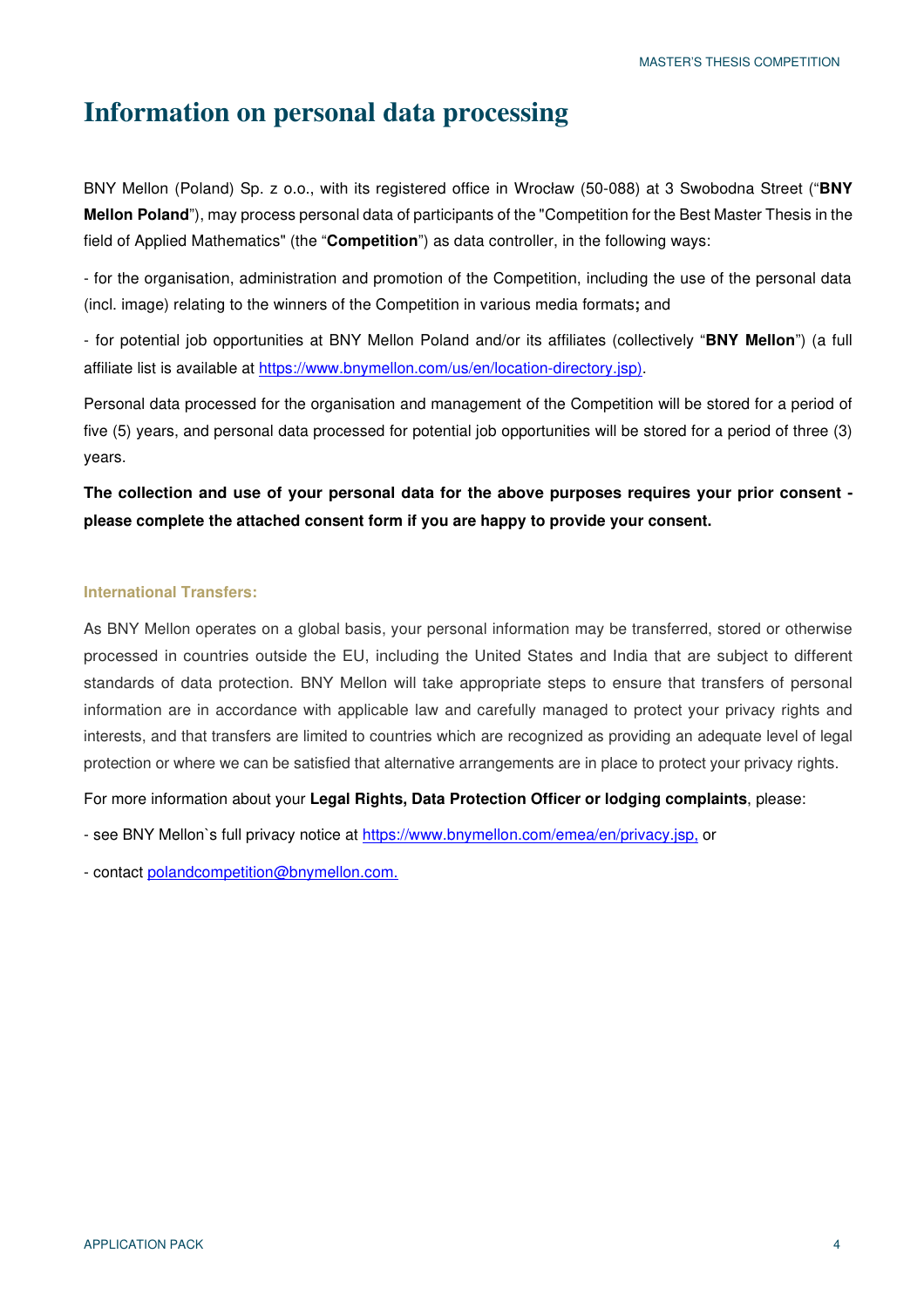#### **Information on personal data processing**

BNY Mellon (Poland) Sp. z o.o., with its registered office in Wrocław (50-088) at 3 Swobodna Street ("**BNY Mellon Poland**"), may process personal data of participants of the "Competition for the Best Master Thesis in the field of Applied Mathematics" (the "**Competition**") as data controller, in the following ways:

- for the organisation, administration and promotion of the Competition, including the use of the personal data (incl. image) relating to the winners of the Competition in various media formats**;** and

- for potential job opportunities at BNY Mellon Poland and/or its affiliates (collectively "**BNY Mellon**") (a full affiliate list is available at https://www.bnymellon.com/us/en/location-directory.jsp).

Personal data processed for the organisation and management of the Competition will be stored for a period of five (5) years, and personal data processed for potential job opportunities will be stored for a period of three (3) years.

**The collection and use of your personal data for the above purposes requires your prior consent please complete the attached consent form if you are happy to provide your consent.**

#### **International Transfers:**

As BNY Mellon operates on a global basis, your personal information may be transferred, stored or otherwise processed in countries outside the EU, including the United States and India that are subject to different standards of data protection. BNY Mellon will take appropriate steps to ensure that transfers of personal information are in accordance with applicable law and carefully managed to protect your privacy rights and interests, and that transfers are limited to countries which are recognized as providing an adequate level of legal protection or where we can be satisfied that alternative arrangements are in place to protect your privacy rights.

For more information about your **Legal Rights, Data Protection Officer or lodging complaints**, please:

- see BNY Mellon`s full privacy notice at https://www.bnymellon.com/emea/en/privacy.jsp, or

- contact polandcompetition@bnymellon.com.